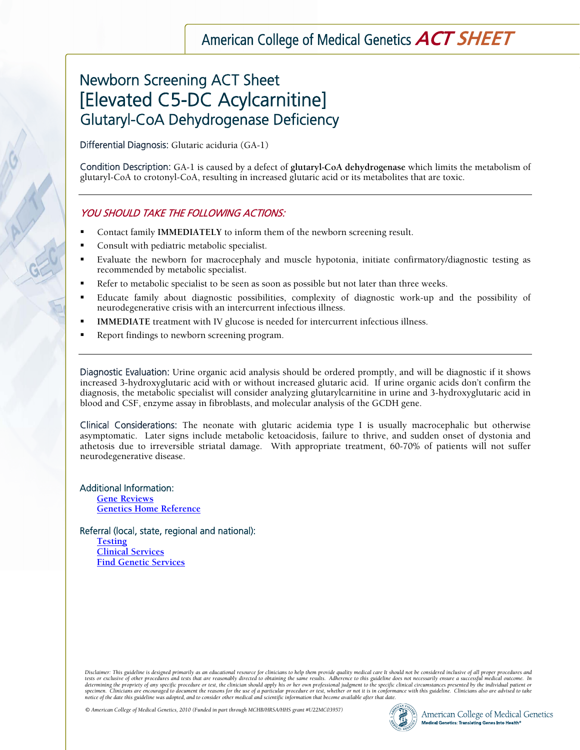## Newborn Screening ACT Sheet<br>[Elevated C5-DC Acylcarnitine] Glutaryl-CoA Dehydrogenase Deficiency

Differential Diagnosis: Glutaric aciduria (GA-1)

Condition Description: GA-1 is caused by a defect of **glutaryl-CoA dehydrogenase** which limits the metabolism of glutaryl-CoA to crotonyl-CoA, resulting in increased glutaric acid or its metabolites that are toxic.

## YOU SHOULD TAKE THE FOLLOWING ACTIONS:

- Contact family **IMMEDIATELY** to inform them of the newborn screening result.
- Consult with pediatric metabolic specialist.
- Evaluate the newborn for macrocephaly and muscle hypotonia, initiate confirmatory/diagnostic testing as recommended by metabolic specialist.
- Refer to metabolic specialist to be seen as soon as possible but not later than three weeks.
- Educate family about diagnostic possibilities, complexity of diagnostic work-up and the possibility of neurodegenerative crisis with an intercurrent infectious illness.
- **IMMEDIATE** treatment with IV glucose is needed for intercurrent infectious illness.
- Report findings to newborn screening program.

Diagnostic Evaluation: Urine organic acid analysis should be ordered promptly, and will be diagnostic if it shows increased 3-hydroxyglutaric acid with or without increased glutaric acid. If urine organic acids don't confirm the diagnosis, the metabolic specialist will consider analyzing glutarylcarnitine in urine and 3-hydroxyglutaric acid in blood and CSF, enzyme assay in fibroblasts, and molecular analysis of the GCDH gene.

Clinical Considerations: The neonate with glutaric acidemia type I is usually macrocephalic but otherwise asymptomatic. Later signs include metabolic ketoacidosis, failure to thrive, and sudden onset of dystonia and athetosis due to irreversible striatal damage. With appropriate treatment, 60-70% of patients will not suffer neurodegenerative disease.

Additional Information: **Gene Reviews Genetics Home Reference**

Referral (local, state, regional and national):

**Testing Clinical Services Find Genetic Services**

laimer: This guideline is designed primarily as an educational resource for clinicians to help them provide quality medical care It should not be considered inclu<br>is or exclusive of other procedures and tests that are reas specimen. Clinicians are encouraged to document the reasons for the use of a particular procedure or test, whether or not it is in conformance with this guideline. Clinicians also are advised to take<br>notice of the date t Disclaimer: This guideline is designed primarily as an educational resource for clinicians to help them provide quality medical care It should not be considered inclusive of all proper procedures and<br>tests or exclusive of